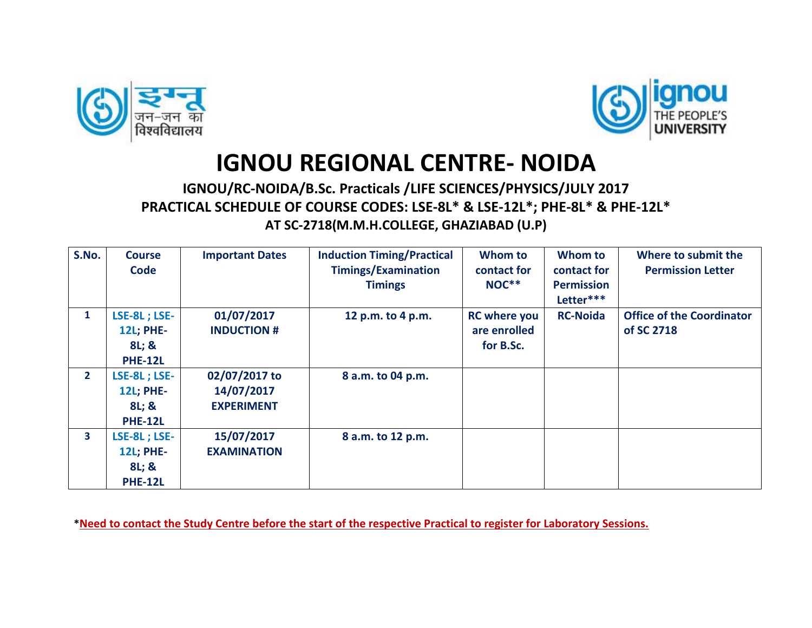



## **IGNOU REGIONAL CENTRE- NOIDA**

## **IGNOU/RC-NOIDA/B.Sc. Practicals /LIFE SCIENCES/PHYSICS/JULY 2017 PRACTICAL SCHEDULE OF COURSE CODES: LSE-8L\* & LSE-12L\*; PHE-8L\* & PHE-12L\* AT SC-2718(M.M.H.COLLEGE, GHAZIABAD (U.P)**

| S.No.        | <b>Course</b><br><b>Code</b>                                       | <b>Important Dates</b>                           | <b>Induction Timing/Practical</b><br><b>Timings/Examination</b><br><b>Timings</b> | Whom to<br>contact for<br>NOC**                  | Whom to<br>contact for<br><b>Permission</b><br>Letter*** | Where to submit the<br><b>Permission Letter</b> |
|--------------|--------------------------------------------------------------------|--------------------------------------------------|-----------------------------------------------------------------------------------|--------------------------------------------------|----------------------------------------------------------|-------------------------------------------------|
| $\mathbf{1}$ | <b>LSE-8L; LSE-</b><br><b>12L; PHE-</b><br>8L; &<br><b>PHE-12L</b> | 01/07/2017<br><b>INDUCTION #</b>                 | 12 p.m. to 4 p.m.                                                                 | <b>RC</b> where you<br>are enrolled<br>for B.Sc. | <b>RC-Noida</b>                                          | <b>Office of the Coordinator</b><br>of SC 2718  |
| $\mathbf{2}$ | LSE-8L; LSE-<br><b>12L; PHE-</b><br>8L; &<br><b>PHE-12L</b>        | 02/07/2017 to<br>14/07/2017<br><b>EXPERIMENT</b> | 8 a.m. to 04 p.m.                                                                 |                                                  |                                                          |                                                 |
| 3            | <b>LSE-8L; LSE-</b><br><b>12L; PHE-</b><br>8L; &<br><b>PHE-12L</b> | 15/07/2017<br><b>EXAMINATION</b>                 | 8 a.m. to 12 p.m.                                                                 |                                                  |                                                          |                                                 |

**\*Need to contact the Study Centre before the start of the respective Practical to register for Laboratory Sessions.**